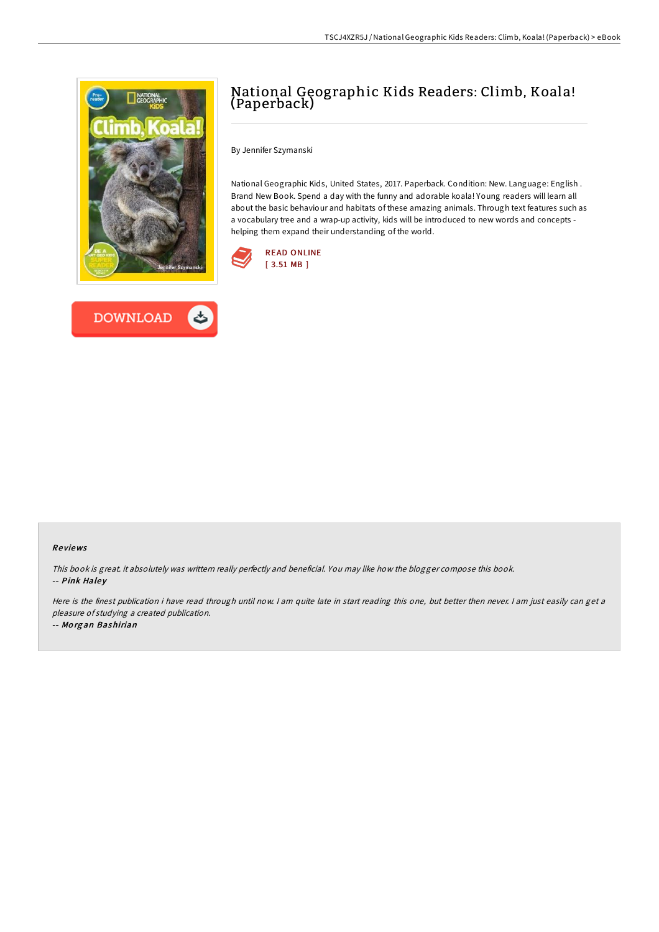

**DOWNLOAD** 



By Jennifer Szymanski

National Geographic Kids, United States, 2017. Paperback. Condition: New. Language: English . Brand New Book. Spend a day with the funny and adorable koala! Young readers will learn all about the basic behaviour and habitats of these amazing animals. Through text features such as a vocabulary tree and a wrap-up activity, kids will be introduced to new words and concepts helping them expand their understanding of the world.





This book is great. it absolutely was writtern really perfectly and beneficial. You may like how the blogger compose this book. -- Pink Haley

Here is the finest publication i have read through until now. <sup>I</sup> am quite late in start reading this one, but better then never. <sup>I</sup> am just easily can get <sup>a</sup> pleasure of studying <sup>a</sup> created publication.

-- Mo rg an Bashirian